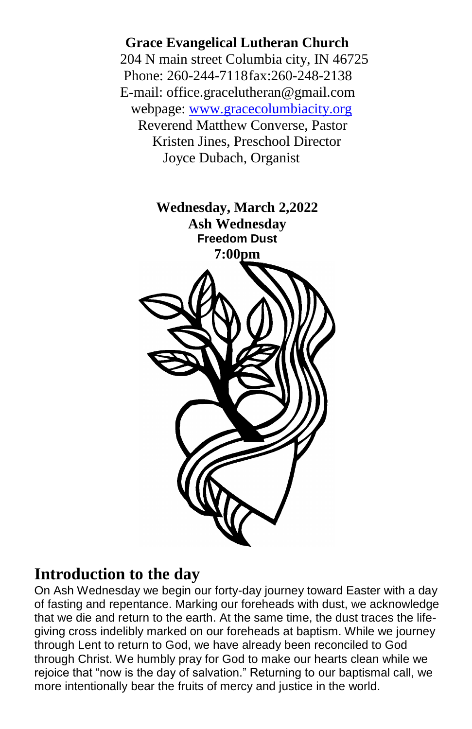**Grace Evangelical Lutheran Church** 204 N main street Columbia city, IN 46725 Phone: 260-244-7118fax:260-248-2138 E-mail: office.gracelutheran@gmail.com webpage: [www.gracecolumbiacity.org](http://www.gracecolumbiacity.org/) Reverend Matthew Converse, Pastor Kristen Jines, Preschool Director Joyce Dubach, Organist



# **Introduction to the day**

On Ash Wednesday we begin our forty-day journey toward Easter with a day of fasting and repentance. Marking our foreheads with dust, we acknowledge that we die and return to the earth. At the same time, the dust traces the lifegiving cross indelibly marked on our foreheads at baptism. While we journey through Lent to return to God, we have already been reconciled to God through Christ. We humbly pray for God to make our hearts clean while we rejoice that "now is the day of salvation." Returning to our baptismal call, we more intentionally bear the fruits of mercy and justice in the world.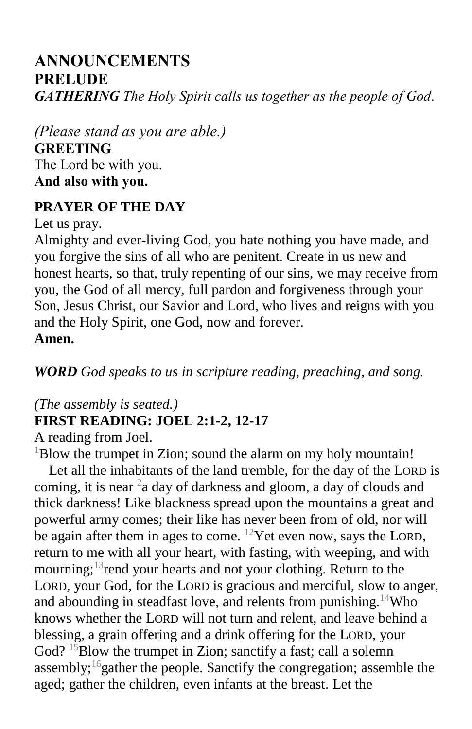# **ANNOUNCEMENTS PRELUDE** *GATHERING The Holy Spirit calls us together as the people of God*.

*(Please stand as you are able.)* **GREETING** The Lord be with you. **And also with you.**

#### **PRAYER OF THE DAY**

Let us pray.

Almighty and ever-living God, you hate nothing you have made, and you forgive the sins of all who are penitent. Create in us new and honest hearts, so that, truly repenting of our sins, we may receive from you, the God of all mercy, full pardon and forgiveness through your Son, Jesus Christ, our Savior and Lord, who lives and reigns with you and the Holy Spirit, one God, now and forever. **Amen.**

*WORD God speaks to us in scripture reading, preaching, and song.*

# *(The assembly is seated.)* **FIRST READING: JOEL 2:1-2, 12-17**

A reading from Joel.

 $1B$ low the trumpet in Zion; sound the alarm on my holy mountain!

Let all the inhabitants of the land tremble, for the day of the LORD is coming, it is near  $2a$  day of darkness and gloom, a day of clouds and thick darkness! Like blackness spread upon the mountains a great and powerful army comes; their like has never been from of old, nor will be again after them in ages to come. <sup>12</sup>Yet even now, says the LORD, return to me with all your heart, with fasting, with weeping, and with mourning; $13$  rend your hearts and not your clothing. Return to the LORD, your God, for the LORD is gracious and merciful, slow to anger, and abounding in steadfast love, and relents from punishing.<sup>14</sup>Who knows whether the LORD will not turn and relent, and leave behind a blessing, a grain offering and a drink offering for the LORD, your God?  $15B$ low the trumpet in Zion; sanctify a fast; call a solemn assembly; $\frac{1}{6}$ gather the people. Sanctify the congregation; assemble the aged; gather the children, even infants at the breast. Let the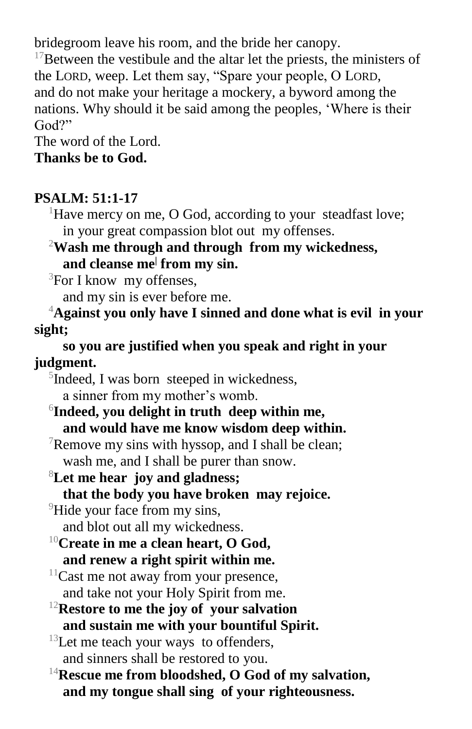bridegroom leave his room, and the bride her canopy.

 $17$ Between the vestibule and the altar let the priests, the ministers of the LORD, weep. Let them say, "Spare your people, O LORD, and do not make your heritage a mockery, a byword among the nations. Why should it be said among the peoples, 'Where is their God?"

The word of the Lord. **Thanks be to God.**

#### **PSALM: 51:1-17**

<sup>1</sup>Have mercy on me, O God, according to your steadfast love; in your great compassion blot out my offenses.

<sup>2</sup>**Wash me through and through from my wickedness, and cleanse me<sup>|</sup> from my sin.**

 ${}^{3}$ For I know my offenses,

and my sin is ever before me.

<sup>4</sup>**Against you only have I sinned and done what is evil in your sight;**

**so you are justified when you speak and right in your judgment.**

 $5$ Indeed, I was born steeped in wickedness, a sinner from my mother's womb.

6 **Indeed, you delight in truth deep within me, and would have me know wisdom deep within.**

 $\sqrt{7}$ Remove my sins with hyssop, and I shall be clean; wash me, and I shall be purer than snow.

<sup>8</sup>**Let me hear joy and gladness; that the body you have broken may rejoice.**

<sup>9</sup>Hide your face from my sins, and blot out all my wickedness.

- <sup>10</sup>**Create in me a clean heart, O God, and renew a right spirit within me.**
- $11$ Cast me not away from your presence, and take not your Holy Spirit from me.
- <sup>12</sup>**Restore to me the joy of your salvation and sustain me with your bountiful Spirit.**

 $13$ Let me teach your ways to offenders, and sinners shall be restored to you.

<sup>14</sup>**Rescue me from bloodshed, O God of my salvation, and my tongue shall sing of your righteousness.**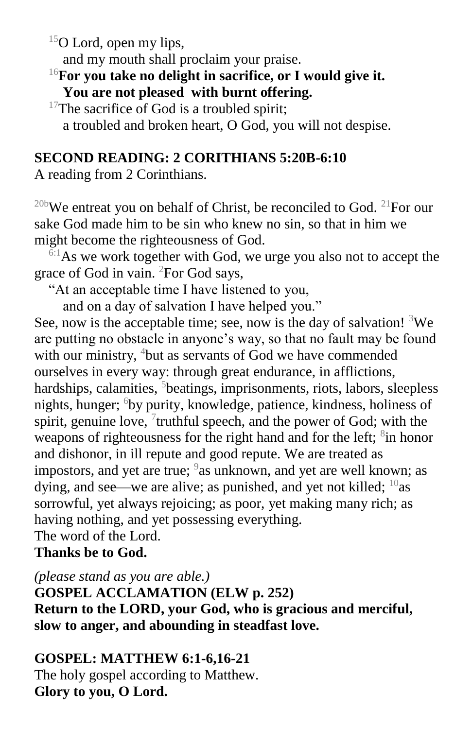$15$ O Lord, open my lips,

and my mouth shall proclaim your praise.

<sup>16</sup>**For you take no delight in sacrifice, or I would give it. You are not pleased with burnt offering.**

 $17$ The sacrifice of God is a troubled spirit; a troubled and broken heart, O God, you will not despise.

# **SECOND READING: 2 CORITHIANS 5:20B-6:10**

A reading from 2 Corinthians.

<sup>20b</sup>We entreat you on behalf of Christ, be reconciled to God. <sup>21</sup>For our sake God made him to be sin who knew no sin, so that in him we might become the righteousness of God.

 $6:1$ As we work together with God, we urge you also not to accept the grace of God in vain. <sup>2</sup>For God says,

"At an acceptable time I have listened to you,

and on a day of salvation I have helped you."

See, now is the acceptable time; see, now is the day of salvation!  ${}^{3}$ We are putting no obstacle in anyone's way, so that no fault may be found with our ministry, <sup>4</sup>but as servants of God we have commended ourselves in every way: through great endurance, in afflictions, hardships, calamities, <sup>5</sup>beatings, imprisonments, riots, labors, sleepless nights, hunger; <sup>6</sup>by purity, knowledge, patience, kindness, holiness of spirit, genuine love,  $\frac{7}{1}$ truthful speech, and the power of God; with the weapons of righteousness for the right hand and for the left; <sup>8</sup>in honor and dishonor, in ill repute and good repute. We are treated as impostors, and yet are true;  $9$  as unknown, and yet are well known; as dying, and see—we are alive; as punished, and yet not killed; <sup>10</sup>as sorrowful, yet always rejoicing; as poor, yet making many rich; as having nothing, and yet possessing everything. The word of the Lord.

# **Thanks be to God.**

*(please stand as you are able.)*

**GOSPEL ACCLAMATION (ELW p. 252) Return to the LORD, your God, who is gracious and merciful, slow to anger, and abounding in steadfast love.**

# **GOSPEL: MATTHEW 6:1-6,16-21**

The holy gospel according to Matthew. **Glory to you, O Lord.**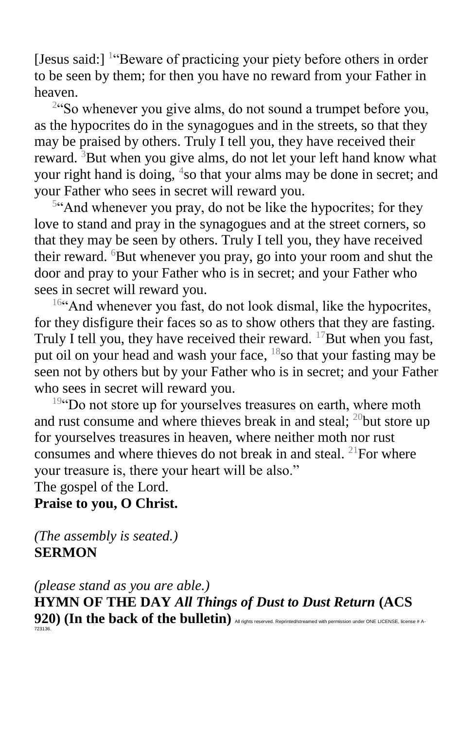[Jesus said:] <sup>1</sup> Beware of practicing your piety before others in order to be seen by them; for then you have no reward from your Father in heaven.

<sup>2</sup>"So whenever you give alms, do not sound a trumpet before you, as the hypocrites do in the synagogues and in the streets, so that they may be praised by others. Truly I tell you, they have received their reward.  ${}^{3}$ But when you give alms, do not let your left hand know what your right hand is doing, <sup>4</sup>so that your alms may be done in secret; and your Father who sees in secret will reward you.

<sup>5</sup>"And whenever you pray, do not be like the hypocrites; for they love to stand and pray in the synagogues and at the street corners, so that they may be seen by others. Truly I tell you, they have received their reward.  ${}^{6}$ But whenever you pray, go into your room and shut the door and pray to your Father who is in secret; and your Father who sees in secret will reward you.

 $16$ "And whenever you fast, do not look dismal, like the hypocrites, for they disfigure their faces so as to show others that they are fasting. Truly I tell you, they have received their reward.  $^{17}$ But when you fast, put oil on your head and wash your face, <sup>18</sup>so that your fasting may be seen not by others but by your Father who is in secret; and your Father who sees in secret will reward you.

<sup>19"</sup>Do not store up for yourselves treasures on earth, where moth and rust consume and where thieves break in and steal;  $^{20}$  but store up for yourselves treasures in heaven, where neither moth nor rust consumes and where thieves do not break in and steal. <sup>21</sup>For where your treasure is, there your heart will be also." The gospel of the Lord.

#### **Praise to you, O Christ.**

*(The assembly is seated.)* **SERMON**

*(please stand as you are able.)* **HYMN OF THE DAY** *All Things of Dust to Dust Return* **(ACS 920) (In the back of the bulletin)** All rights reserved. Reprinted/streamed with permission under ONE LICENSE, license # A-723136.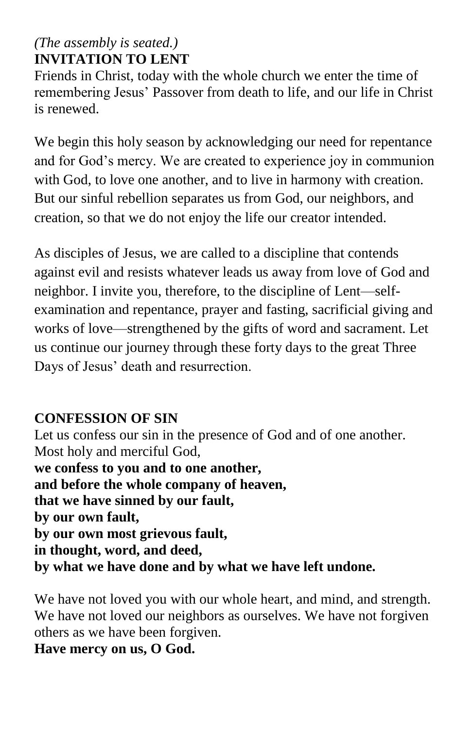# *(The assembly is seated.)* **INVITATION TO LENT**

Friends in Christ, today with the whole church we enter the time of remembering Jesus' Passover from death to life, and our life in Christ is renewed.

We begin this holy season by acknowledging our need for repentance and for God's mercy. We are created to experience joy in communion with God, to love one another, and to live in harmony with creation. But our sinful rebellion separates us from God, our neighbors, and creation, so that we do not enjoy the life our creator intended.

As disciples of Jesus, we are called to a discipline that contends against evil and resists whatever leads us away from love of God and neighbor. I invite you, therefore, to the discipline of Lent—selfexamination and repentance, prayer and fasting, sacrificial giving and works of love—strengthened by the gifts of word and sacrament. Let us continue our journey through these forty days to the great Three Days of Jesus' death and resurrection.

# **CONFESSION OF SIN**

Let us confess our sin in the presence of God and of one another. Most holy and merciful God, **we confess to you and to one another, and before the whole company of heaven, that we have sinned by our fault, by our own fault, by our own most grievous fault, in thought, word, and deed, by what we have done and by what we have left undone.**

We have not loved you with our whole heart, and mind, and strength. We have not loved our neighbors as ourselves. We have not forgiven others as we have been forgiven.

**Have mercy on us, O God.**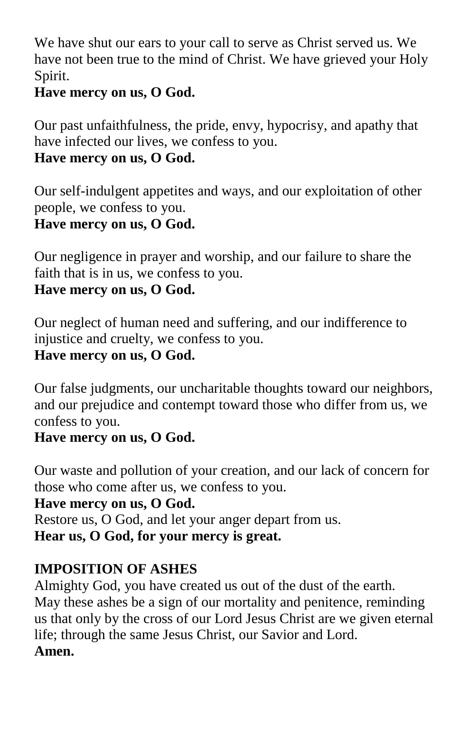We have shut our ears to your call to serve as Christ served us. We have not been true to the mind of Christ. We have grieved your Holy Spirit.

## **Have mercy on us, O God.**

Our past unfaithfulness, the pride, envy, hypocrisy, and apathy that have infected our lives, we confess to you.

# **Have mercy on us, O God.**

Our self-indulgent appetites and ways, and our exploitation of other people, we confess to you.

# **Have mercy on us, O God.**

Our negligence in prayer and worship, and our failure to share the faith that is in us, we confess to you.

# **Have mercy on us, O God.**

Our neglect of human need and suffering, and our indifference to injustice and cruelty, we confess to you. **Have mercy on us, O God.**

Our false judgments, our uncharitable thoughts toward our neighbors, and our prejudice and contempt toward those who differ from us, we confess to you.

### **Have mercy on us, O God.**

Our waste and pollution of your creation, and our lack of concern for those who come after us, we confess to you.

#### **Have mercy on us, O God.**

Restore us, O God, and let your anger depart from us. **Hear us, O God, for your mercy is great.**

# **IMPOSITION OF ASHES**

Almighty God, you have created us out of the dust of the earth. May these ashes be a sign of our mortality and penitence, reminding us that only by the cross of our Lord Jesus Christ are we given eternal life; through the same Jesus Christ, our Savior and Lord. **Amen.**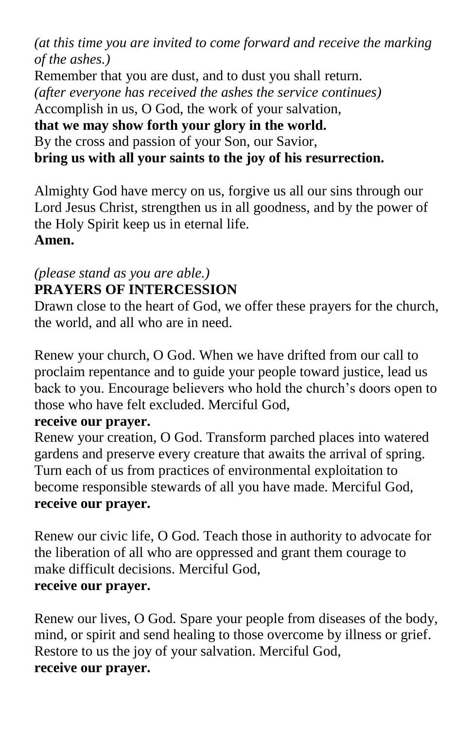*(at this time you are invited to come forward and receive the marking of the ashes.)* Remember that you are dust, and to dust you shall return. *(after everyone has received the ashes the service continues)*  Accomplish in us, O God, the work of your salvation, **that we may show forth your glory in the world.** By the cross and passion of your Son, our Savior, **bring us with all your saints to the joy of his resurrection.**

Almighty God have mercy on us, forgive us all our sins through our Lord Jesus Christ, strengthen us in all goodness, and by the power of the Holy Spirit keep us in eternal life. **Amen.**

#### *(please stand as you are able.)* **PRAYERS OF INTERCESSION**

Drawn close to the heart of God, we offer these prayers for the church, the world, and all who are in need.

Renew your church, O God. When we have drifted from our call to proclaim repentance and to guide your people toward justice, lead us back to you. Encourage believers who hold the church's doors open to those who have felt excluded. Merciful God,

### **receive our prayer.**

Renew your creation, O God. Transform parched places into watered gardens and preserve every creature that awaits the arrival of spring. Turn each of us from practices of environmental exploitation to become responsible stewards of all you have made. Merciful God, **receive our prayer.**

Renew our civic life, O God. Teach those in authority to advocate for the liberation of all who are oppressed and grant them courage to make difficult decisions. Merciful God, **receive our prayer.**

Renew our lives, O God. Spare your people from diseases of the body, mind, or spirit and send healing to those overcome by illness or grief. Restore to us the joy of your salvation. Merciful God, **receive our prayer.**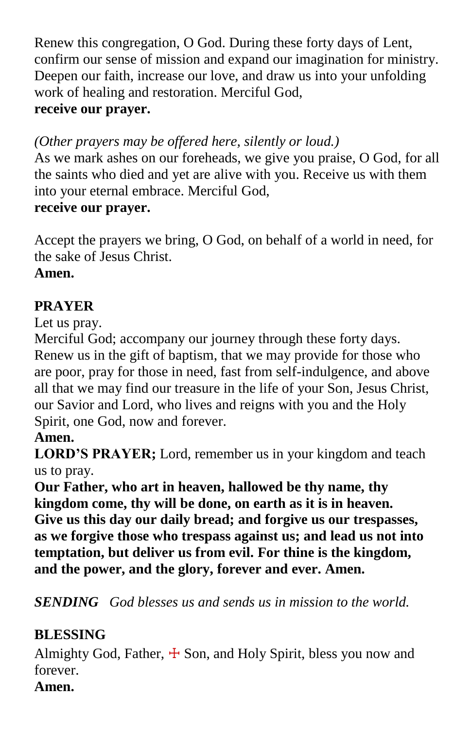Renew this congregation, O God. During these forty days of Lent, confirm our sense of mission and expand our imagination for ministry. Deepen our faith, increase our love, and draw us into your unfolding work of healing and restoration. Merciful God, **receive our prayer.**

*(Other prayers may be offered here, silently or loud.)*

As we mark ashes on our foreheads, we give you praise, O God, for all the saints who died and yet are alive with you. Receive us with them into your eternal embrace. Merciful God,

### **receive our prayer.**

Accept the prayers we bring, O God, on behalf of a world in need, for the sake of Jesus Christ.

**Amen.**

# **PRAYER**

Let us pray.

Merciful God; accompany our journey through these forty days. Renew us in the gift of baptism, that we may provide for those who are poor, pray for those in need, fast from self-indulgence, and above all that we may find our treasure in the life of your Son, Jesus Christ, our Savior and Lord, who lives and reigns with you and the Holy Spirit, one God, now and forever.

# **Amen.**

**LORD'S PRAYER;** Lord, remember us in your kingdom and teach us to pray.

**Our Father, who art in heaven, hallowed be thy name, thy kingdom come, thy will be done, on earth as it is in heaven. Give us this day our daily bread; and forgive us our trespasses, as we forgive those who trespass against us; and lead us not into temptation, but deliver us from evil. For thine is the kingdom, and the power, and the glory, forever and ever. Amen.**

*SENDING God blesses us and sends us in mission to the world.*

# **BLESSING**

Almighty God, Father,  $\pm$  Son, and Holy Spirit, bless you now and forever.

# **Amen.**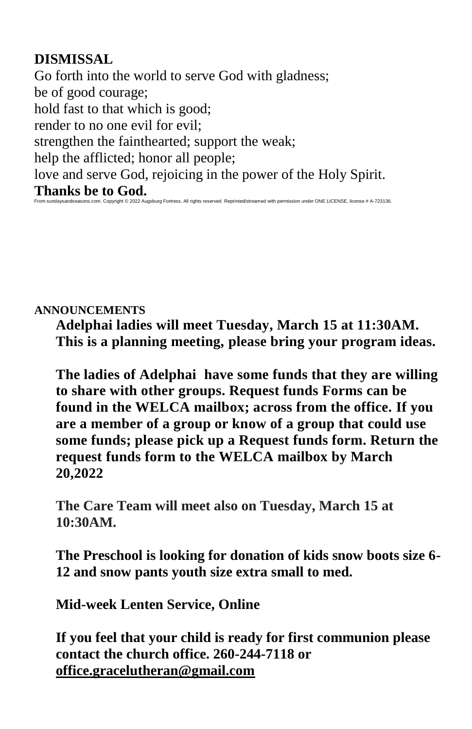## **DISMISSAL**

Go forth into the world to serve God with gladness; be of good courage; hold fast to that which is good; render to no one evil for evil; strengthen the fainthearted; support the weak; help the afflicted; honor all people; love and serve God, rejoicing in the power of the Holy Spirit. **Thanks be to God.** From sundaysandseasons.com. Copyright © 2022 Augsburg Fortress. All rights reserved. Reprinted/streamed with permission under ONE LICENSE, license # A-723136.

#### **ANNOUNCEMENTS**

**Adelphai ladies will meet Tuesday, March 15 at 11:30AM. This is a planning meeting, please bring your program ideas.**

**The ladies of Adelphai have some funds that they are willing to share with other groups. Request funds Forms can be found in the WELCA mailbox; across from the office. If you are a member of a group or know of a group that could use some funds; please pick up a Request funds form. Return the request funds form to the WELCA mailbox by March 20,2022**

**The Care Team will meet also on Tuesday, March 15 at 10:30AM.**

**The Preschool is looking for donation of kids snow boots size 6- 12 and snow pants youth size extra small to med.**

**Mid-week Lenten Service, Online** 

**If you feel that your child is ready for first communion please contact the church office. 260-244-7118 or [office.gracelutheran@gmail.com](mailto:office.gracelutheran@gmail.com)**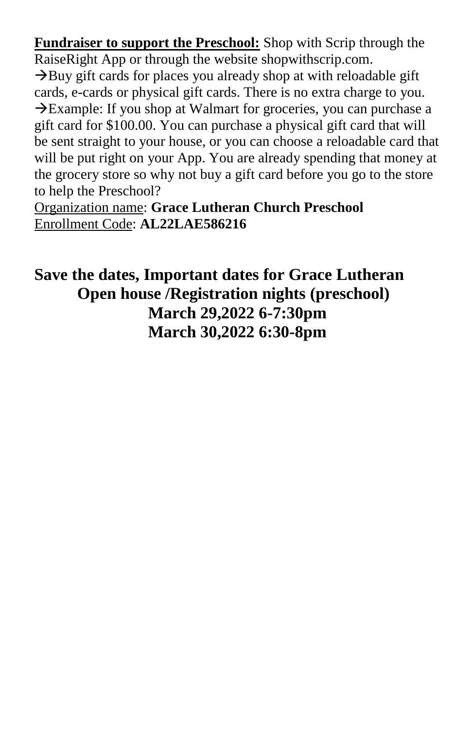**Fundraiser to support the Preschool:** Shop with Scrip through the RaiseRight App or through the website shopwithscrip.com.

 $\rightarrow$ Buy gift cards for places you already shop at with reloadable gift cards, e-cards or physical gift cards. There is no extra charge to you. →Example: If you shop at Walmart for groceries, you can purchase a gift card for \$100.00. You can purchase a physical gift card that will be sent straight to your house, or you can choose a reloadable card that will be put right on your App. You are already spending that money at the grocery store so why not buy a gift card before you go to the store to help the Preschool?

Organization name: **Grace Lutheran Church Preschool** Enrollment Code: **AL22LAE586216**

**Save the dates, Important dates for Grace Lutheran Open house /Registration nights (preschool) March 29,2022 6-7:30pm March 30,2022 6:30-8pm**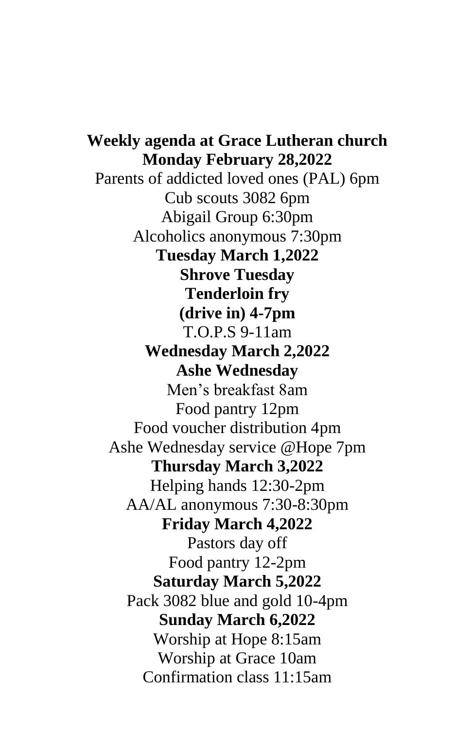**Weekly agenda at Grace Lutheran church Monday February 28,2022** Parents of addicted loved ones (PAL) 6pm Cub scouts 3082 6pm Abigail Group 6:30pm Alcoholics anonymous 7:30pm **Tuesday March 1,2022 Shrove Tuesday Tenderloin fry (drive in) 4-7pm** T.O.P.S 9-11am **Wednesday March 2,2022 Ashe Wednesday** Men's breakfast 8am Food pantry 12pm Food voucher distribution 4pm Ashe Wednesday service @Hope 7pm **Thursday March 3,2022** Helping hands 12:30-2pm AA/AL anonymous 7:30-8:30pm **Friday March 4,2022** Pastors day off Food pantry 12-2pm **Saturday March 5,2022** Pack 3082 blue and gold 10-4pm **Sunday March 6,2022** Worship at Hope 8:15am Worship at Grace 10am Confirmation class 11:15am